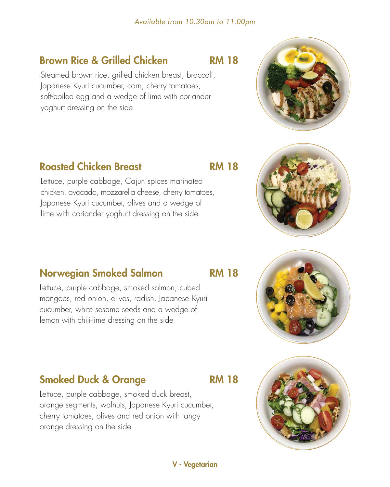Steamed brown rice, grilled chicken breast, broccoli, Japanese Kyuri cucumber, corn, cherry tomatoes, soft-boiled egg and a wedge of lime with coriander yoghurt dressing on the side

# Roasted Chicken Breast **RM 18**

Lettuce, purple cabbage, Cajun spices marinated chicken, avocado, mozzarella cheese, cherry tomatoes, Japanese Kyuri cucumber, olives and a wedge of lime with coriander yoghurt dressing on the side

### Norwegian Smoked Salmon

Lettuce, purple cabbage, smoked salmon, cubed mangoes, red onion, olives, radish, Japanese Kyuri cucumber, white sesame seeds and a wedge of lemon with chili-lime dressing on the side





### Smoked Duck & Orange RM 18

RM 18

Lettuce, purple cabbage, smoked duck breast, orange segments, walnuts, Japanese Kyuri cucumber, cherry tomatoes, olives and red onion with tangy orange dressing on the side





# Brown Rice & Grilled Chicken RM 18